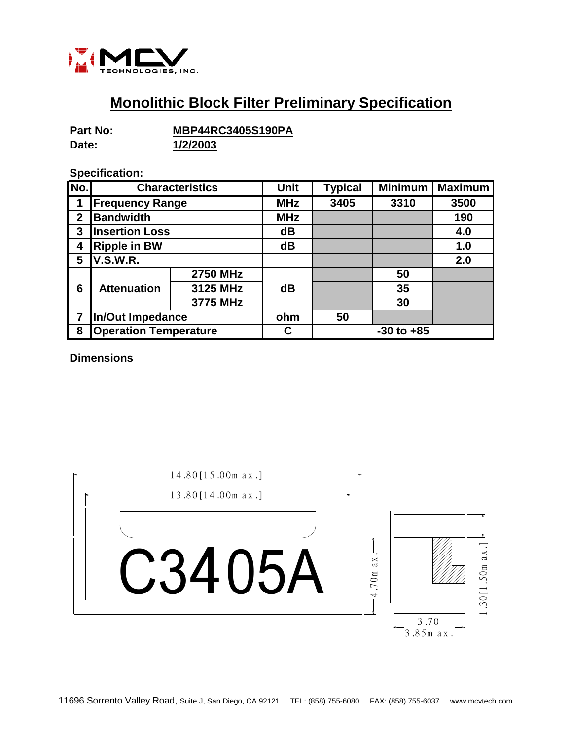

## **Monolithic Block Filter Preliminary Specification**

| Part No: | <b>MBP44RC3405S190PA</b> |  |  |  |
|----------|--------------------------|--|--|--|
| Date:    | 1/2/2003                 |  |  |  |

## **Specification:**

| No.         | <b>Characteristics</b>       |                 | <b>Unit</b> | <b>Typical</b> | <b>Minimum</b> | <b>Maximum</b> |
|-------------|------------------------------|-----------------|-------------|----------------|----------------|----------------|
|             | <b>Frequency Range</b>       |                 | <b>MHz</b>  | 3405           | 3310           | 3500           |
| $\mathbf 2$ | <b>Bandwidth</b>             |                 | <b>MHz</b>  |                |                | 190            |
| 3           | <b>Insertion Loss</b>        |                 | dB          |                |                | 4.0            |
| 4           | <b>Ripple in BW</b>          |                 | dB          |                |                | 1.0            |
| 5           | <b>V.S.W.R.</b>              |                 |             |                |                | 2.0            |
| 6           | <b>Attenuation</b>           | <b>2750 MHz</b> | dB          |                | 50             |                |
|             |                              | 3125 MHz        |             |                | 35             |                |
|             |                              | 3775 MHz        |             |                | 30             |                |
| 7           | In/Out Impedance             |                 | ohm         | 50             |                |                |
| 8           | <b>Operation Temperature</b> |                 | C           | $-30$ to $+85$ |                |                |

**Dimensions**